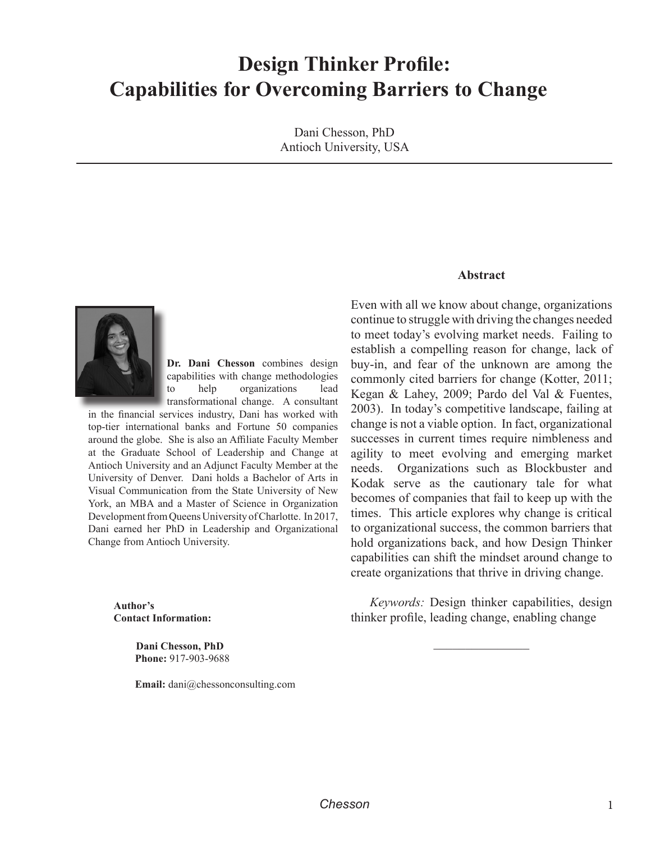# **Design Thinker Profile: Capabilities for Overcoming Barriers to Change**

Dani Chesson, PhD Antioch University, USA



**Dr. Dani Chesson** combines design capabilities with change methodologies to help organizations lead transformational change. A consultant

in the financial services industry, Dani has worked with top-tier international banks and Fortune 50 companies around the globe. She is also an Affiliate Faculty Member at the Graduate School of Leadership and Change at Antioch University and an Adjunct Faculty Member at the University of Denver. Dani holds a Bachelor of Arts in Visual Communication from the State University of New York, an MBA and a Master of Science in Organization Development from Queens University of Charlotte. In 2017, Dani earned her PhD in Leadership and Organizational Change from Antioch University.

**Abstract** 

Even with all we know about change, organizations continue to struggle with driving the changes needed to meet today's evolving market needs. Failing to establish a compelling reason for change, lack of buy-in, and fear of the unknown are among the commonly cited barriers for change (Kotter, 2011; Kegan & Lahey, 2009; Pardo del Val & Fuentes, 2003). In today's competitive landscape, failing at change is not a viable option. In fact, organizational successes in current times require nimbleness and agility to meet evolving and emerging market needs. Organizations such as Blockbuster and Kodak serve as the cautionary tale for what becomes of companies that fail to keep up with the times. This article explores why change is critical to organizational success, the common barriers that hold organizations back, and how Design Thinker capabilities can shift the mindset around change to create organizations that thrive in driving change.

Author's **Contact Information:** 

> **Dani Chesson, PhD Phone: 917-903-9688**

**Email:** dani@chessonconsulting.com

*Keywords:* Design thinker capabilities, design thinker profile, leading change, enabling change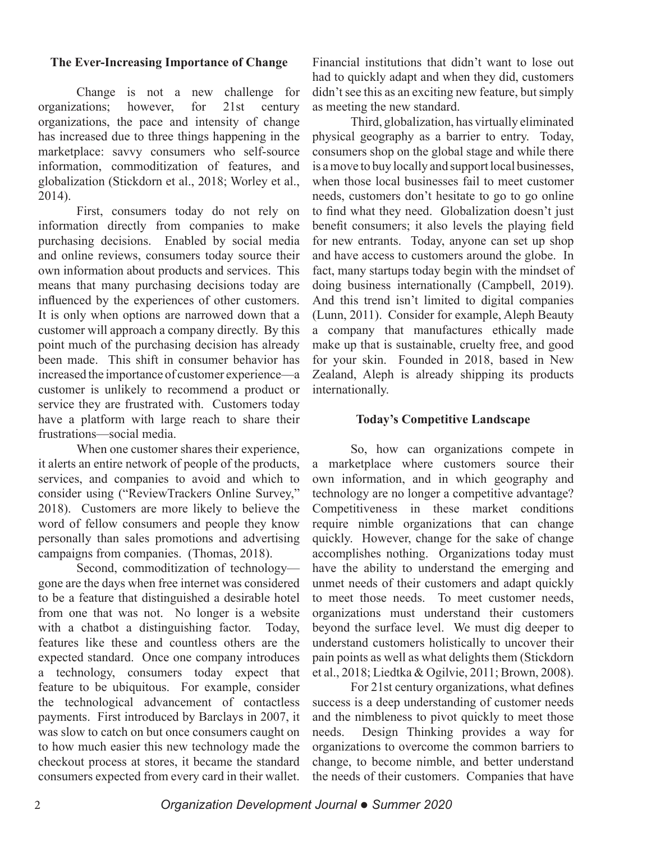# **The Ever-Increasing Importance of Change**

Change is not a new challenge for organizations: however, for 21st century organizations, the pace and intensity of change has increased due to three things happening in the marketplace: savvy consumers who self-source information, commoditization of features, and globalization (Stickdorn et al., 2018; Worley et al.,  $2014$ ).

First, consumers today do not rely on information directly from companies to make purchasing decisions. Enabled by social media and online reviews, consumers today source their own information about products and services. This means that many purchasing decisions today are influenced by the experiences of other customers. It is only when options are narrowed down that a customer will approach a company directly. By this point much of the purchasing decision has already been made. This shift in consumer behavior has increased the importance of customer experience—a customer is unlikely to recommend a product or service they are frustrated with. Customers today have a platform with large reach to share their frustrations—social media.

When one customer shares their experience, it alerts an entire network of people of the products, services, and companies to avoid and which to consider using ("ReviewTrackers Online Survey," 2018). Customers are more likely to believe the word of fellow consumers and people they know personally than sales promotions and advertising campaigns from companies. (Thomas, 2018).

Second, commoditization of technologygone are the days when free internet was considered to be a feature that distinguished a desirable hotel from one that was not. No longer is a website with a chatbot a distinguishing factor. Today, features like these and countless others are the expected standard. Once one company introduces a technology, consumers today expect that feature to be ubiquitous. For example, consider the technological advancement of contactless payments. First introduced by Barclays in 2007, it was slow to catch on but once consumers caught on to how much easier this new technology made the checkout process at stores, it became the standard consumers expected from every card in their wallet.

Financial institutions that didn't want to lose out had to quickly adapt and when they did, customers didn't see this as an exciting new feature, but simply as meeting the new standard.

Third, globalization, has virtually eliminated physical geography as a barrier to entry. Today, consumers shop on the global stage and while there is a move to buy locally and support local businesses, when those local businesses fail to meet customer needs, customers don't hesitate to go to go online to find what they need. Globalization doesn't just benefit consumers; it also levels the playing field for new entrants. Today, anyone can set up shop and have access to customers around the globe. In fact, many startups today begin with the mindset of doing business internationally (Campbell, 2019). And this trend isn't limited to digital companies (Lunn, 2011). Consider for example, Aleph Beauty a company that manufactures ethically made make up that is sustainable, cruelty free, and good for your skin. Founded in 2018, based in New Zealand, Aleph is already shipping its products internationally.

#### **Today's Competitive Landscape**

So, how can organizations compete in a marketplace where customers source their own information, and in which geography and technology are no longer a competitive advantage? Competitiveness in these market conditions require nimble organizations that can change quickly. However, change for the sake of change accomplishes nothing. Organizations today must have the ability to understand the emerging and unmet needs of their customers and adapt quickly to meet those needs. To meet customer needs, organizations must understand their customers beyond the surface level. We must dig deeper to understand customers holistically to uncover their pain points as well as what delights them (Stickdorn et al., 2018; Liedtka & Ogilvie, 2011; Brown, 2008).

For 21st century organizations, what defines success is a deep understanding of customer needs and the nimbleness to pivot quickly to meet those needs. Design Thinking provides a way for organizations to overcome the common barriers to change, to become nimble, and better understand the needs of their customers. Companies that have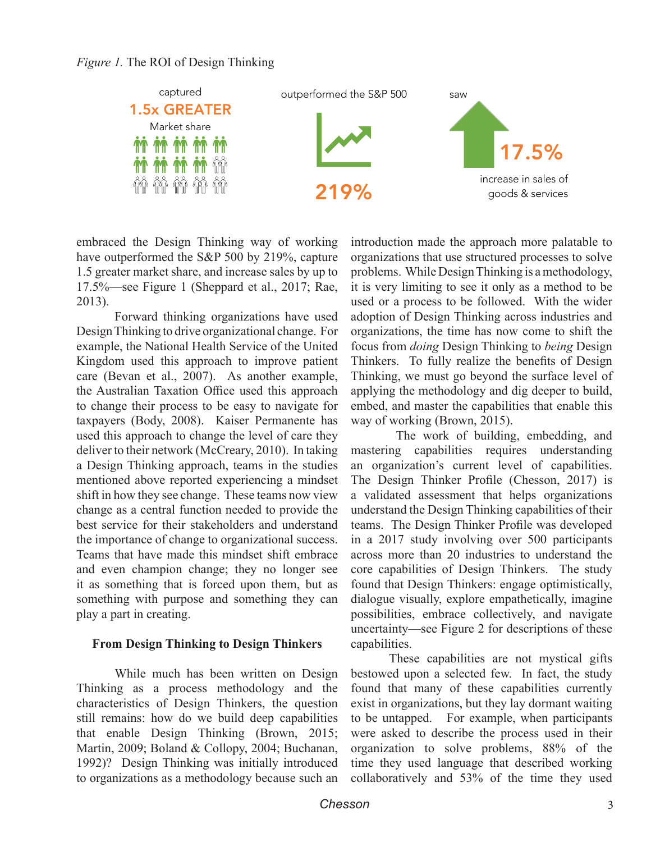

embraced the Design Thinking way of working have outperformed the S&P 500 by 219%, capture 1.5 greater market share, and increase sales by up to 17.5%—see Figure 1 (Sheppard et al., 2017; Rae,  $2013$ ).

Forward thinking organizations have used Design Thinking to drive organizational change. For example, the National Health Service of the United Kingdom used this approach to improve patient care (Bevan et al., 2007). As another example, the Australian Taxation Office used this approach to change their process to be easy to navigate for taxpayers (Body, 2008). Kaiser Permanente has used this approach to change the level of care they deliver to their network (McCreary, 2010). In taking a Design Thinking approach, teams in the studies mentioned above reported experiencing a mindset shift in how they see change. These teams now view change as a central function needed to provide the best service for their stakeholders and understand the importance of change to organizational success. Teams that have made this mindset shift embrace and even champion change; they no longer see it as something that is forced upon them, but as something with purpose and something they can play a part in creating.

#### **From Design Thinking to Design Thinkers**

While much has been written on Design Thinking as a process methodology and the characteristics of Design Thinkers, the question still remains: how do we build deep capabilities that enable Design Thinking (Brown, 2015; Martin, 2009; Boland & Collopy, 2004; Buchanan, 1992)? Design Thinking was initially introduced to organizations as a methodology because such an introduction made the approach more palatable to organizations that use structured processes to solve problems. While Design Thinking is a methodology, it is very limiting to see it only as a method to be used or a process to be followed. With the wider adoption of Design Thinking across industries and organizations, the time has now come to shift the focus from *doing* Design Thinking to *being* Design Thinkers. To fully realize the benefits of Design Thinking, we must go beyond the surface level of applying the methodology and dig deeper to build, embed, and master the capabilities that enable this way of working (Brown, 2015).

The work of building, embedding, and mastering capabilities requires understanding an organization's current level of capabilities. The Design Thinker Profile (Chesson, 2017) is a validated assessment that helps organizations understand the Design Thinking capabilities of their teams. The Design Thinker Profile was developed in a 2017 study involving over  $500$  participants across more than 20 industries to understand the core capabilities of Design Thinkers. The study found that Design Thinkers: engage optimistically, dialogue visually, explore empathetically, imagine possibilities, embrace collectively, and navigate uncertainty—see Figure 2 for descriptions of these capabilities.

These capabilities are not mystical gifts bestowed upon a selected few. In fact, the study found that many of these capabilities currently exist in organizations, but they lay dormant waiting to be untapped. For example, when participants were asked to describe the process used in their organization to solve problems, 88% of the time they used language that described working collaboratively and  $53\%$  of the time they used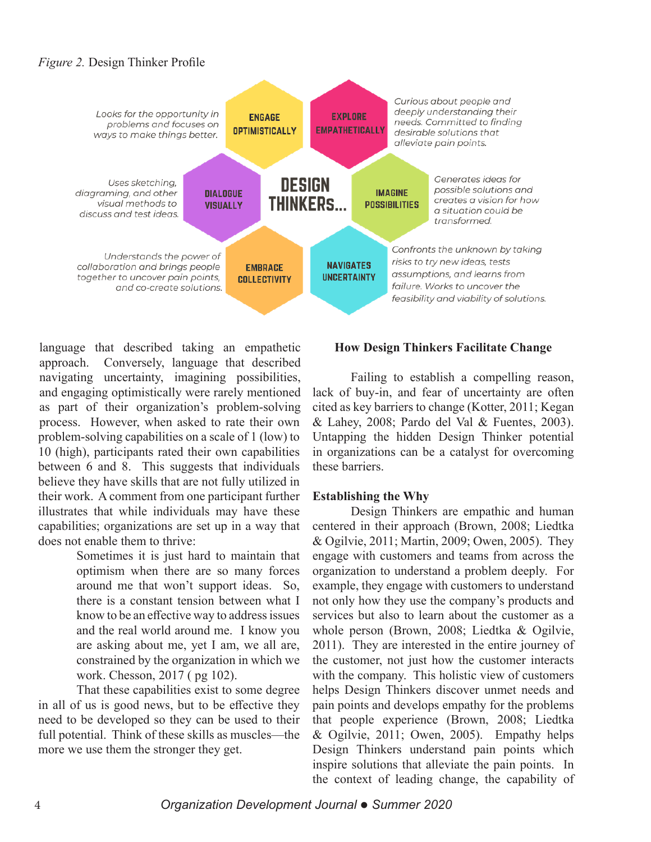# *Figure 2.* Design Thinker Profile



language that described taking an empathetic approach. Conversely, language that described navigating uncertainty, imagining possibilities, and engaging optimistically were rarely mentioned as part of their organization's problem-solving process. However, when asked to rate their own problem-solving capabilities on a scale of  $1$  (low) to 10 (high), participants rated their own capabilities between 6 and 8. This suggests that individuals believe they have skills that are not fully utilized in their work. A comment from one participant further illustrates that while individuals may have these capabilities; organizations are set up in a way that does not enable them to thrive:

> Sometimes it is just hard to maintain that optimism when there are so many forces around me that won't support ideas. So, there is a constant tension between what I know to be an effective way to address issues and the real world around me. I know you are asking about me, yet I am, we all are, constrained by the organization in which we work. Chesson,  $2017$  (pg 102).

That these capabilities exist to some degree in all of us is good news, but to be effective they need to be developed so they can be used to their full potential. Think of these skills as muscles—the more we use them the stronger they get.

#### **How Design Thinkers Facilitate Change**

Failing to establish a compelling reason, lack of buy-in, and fear of uncertainty are often cited as key barriers to change (Kotter, 2011; Kegan  $&$  Lahey, 2008; Pardo del Val  $&$  Fuentes, 2003). Untapping the hidden Design Thinker potential in organizations can be a catalyst for overcoming these barriers.

#### **Establishing the Why**

Design Thinkers are empathic and human centered in their approach (Brown, 2008; Liedtka & Ogilvie, 2011; Martin, 2009; Owen, 2005). They engage with customers and teams from across the organization to understand a problem deeply. For example, they engage with customers to understand not only how they use the company's products and services but also to learn about the customer as a whole person (Brown, 2008; Liedtka & Ogilvie, 2011). They are interested in the entire journey of the customer, not just how the customer interacts with the company. This holistic view of customers helps Design Thinkers discover unmet needs and pain points and develops empathy for the problems that people experience (Brown, 2008; Liedtka & Ogilvie, 2011; Owen, 2005). Empathy helps Design Thinkers understand pain points which inspire solutions that alleviate the pain points. In the context of leading change, the capability of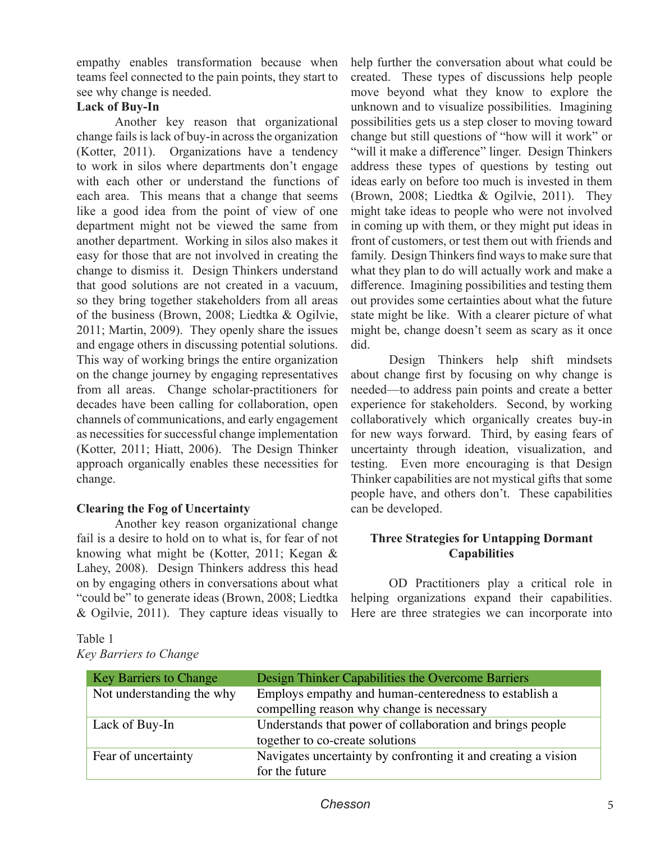empathy enables transformation because when teams feel connected to the pain points, they start to see why change is needed.

# **Lack of Buy-In**

Another key reason that organizational change fails is lack of buy-in across the organization (Kotter, 2011). Organizations have a tendency to work in silos where departments don't engage with each other or understand the functions of each area. This means that a change that seems like a good idea from the point of view of one department might not be viewed the same from another department. Working in silos also makes it easy for those that are not involved in creating the change to dismiss it. Design Thinkers understand that good solutions are not created in a vacuum, so they bring together stakeholders from all areas of the business (Brown, 2008; Liedtka & Ogilvie,  $2011$ ; Martin,  $2009$ ). They openly share the issues and engage others in discussing potential solutions. This way of working brings the entire organization on the change journey by engaging representatives from all areas. Change scholar-practitioners for decades have been calling for collaboration, open channels of communications, and early engagement as necessities for successful change implementation (Kotter, 2011; Hiatt, 2006). The Design Thinker approach organically enables these necessities for change.

# **Clearing the Fog of Uncertainty**

Another key reason organizational change fail is a desire to hold on to what is, for fear of not knowing what might be (Kotter, 2011; Kegan  $\&$ Lahey, 2008). Design Thinkers address this head on by engaging others in conversations about what "could be" to generate ideas (Brown, 2008; Liedtka & Ogilvie, 2011). They capture ideas visually to

help further the conversation about what could be created. These types of discussions help people move beyond what they know to explore the unknown and to visualize possibilities. Imagining possibilities gets us a step closer to moving toward change but still questions of "how will it work" or "will it make a difference" linger. Design Thinkers address these types of questions by testing out ideas early on before too much is invested in them (Brown, 2008; Liedtka & Ogilvie, 2011). They might take ideas to people who were not involved in coming up with them, or they might put ideas in front of customers, or test them out with friends and family. Design Thinkers find ways to make sure that what they plan to do will actually work and make a difference. Imagining possibilities and testing them out provides some certainties about what the future state might be like. With a clearer picture of what might be, change doesn't seem as scary as it once did.

Design Thinkers help shift mindsets about change first by focusing on why change is needed—to address pain points and create a better experience for stakeholders. Second, by working collaboratively which organically creates buy-in for new ways forward. Third, by easing fears of uncertainty through ideation, visualization, and testing. Even more encouraging is that Design Thinker capabilities are not mystical gifts that some people have, and others don't. These capabilities can be developed.

# **Three Strategies for Untapping Dormant Capabilities**

OD Practitioners play a critical role in helping organizations expand their capabilities. Here are three strategies we can incorporate into

| <b>Key Barriers to Change</b> | Design Thinker Capabilities the Overcome Barriers             |  |
|-------------------------------|---------------------------------------------------------------|--|
| Not understanding the why     | Employs empathy and human-centeredness to establish a         |  |
|                               | compelling reason why change is necessary                     |  |
| Lack of Buy-In                | Understands that power of collaboration and brings people     |  |
|                               | together to co-create solutions                               |  |
| Fear of uncertainty           | Navigates uncertainty by confronting it and creating a vision |  |
|                               | for the future                                                |  |

# Key Barriers to Change *Key Barriers to Change*Table 1

## *Chesson* 5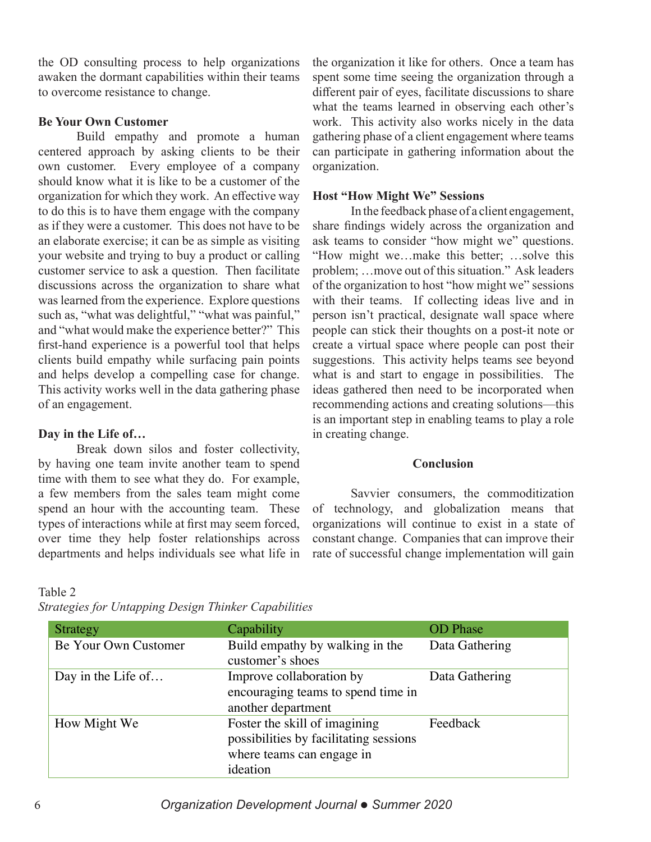the OD consulting process to help organizations awaken the dormant capabilities within their teams to overcome resistance to change.

## **Be Your Own Customer**

Build empathy and promote a human centered approach by asking clients to be their own customer. Every employee of a company should know what it is like to be a customer of the organization for which they work. An effective way to do this is to have them engage with the company as if they were a customer. This does not have to be an elaborate exercise; it can be as simple as visiting your website and trying to buy a product or calling customer service to ask a question. Then facilitate discussions across the organization to share what was learned from the experience. Explore questions such as, "what was delightful," "what was painful," and "what would make the experience better?" This first-hand experience is a powerful tool that helps clients build empathy while surfacing pain points and helps develop a compelling case for change. This activity works well in the data gathering phase of an engagement.

## Day in the Life of...

Break down silos and foster collectivity, by having one team invite another team to spend time with them to see what they do. For example, a few members from the sales team might come spend an hour with the accounting team. These types of interactions while at first may seem forced, over time they help foster relationships across departments and helps individuals see what life in the organization it like for others. Once a team has spent some time seeing the organization through a different pair of eyes, facilitate discussions to share what the teams learned in observing each other's work. This activity also works nicely in the data gathering phase of a client engagement where teams can participate in gathering information about the organization.

#### **Host "How Might We" Sessions**

In the feedback phase of a client engagement, share findings widely across the organization and ask teams to consider "how might we" questions. "How might we...make this better; ...solve this problem; ... move out of this situation." Ask leaders of the organization to host "how might we" sessions with their teams. If collecting ideas live and in person isn't practical, designate wall space where people can stick their thoughts on a post-it note or create a virtual space where people can post their suggestions. This activity helps teams see beyond what is and start to engage in possibilities. The ideas gathered then need to be incorporated when recommending actions and creating solutions—this is an important step in enabling teams to play a role in creating change.

#### **Conclusion**

Savvier consumers, the commoditization of technology, and globalization means that organizations will continue to exist in a state of constant change. Companies that can improve their rate of successful change implementation will gain

#### Table 2

| Strategy             | Capability                                                                                                       | <b>OD</b> Phase |
|----------------------|------------------------------------------------------------------------------------------------------------------|-----------------|
| Be Your Own Customer | Build empathy by walking in the<br>customer's shoes                                                              | Data Gathering  |
| Day in the Life of   | Improve collaboration by<br>encouraging teams to spend time in<br>another department                             | Data Gathering  |
| How Might We         | Foster the skill of imagining<br>possibilities by facilitating sessions<br>where teams can engage in<br>ideation | Feedback        |

*Strategies for Untapping Design Thinker Capabilities* Strategies for Untapping Design Thinker Capabilities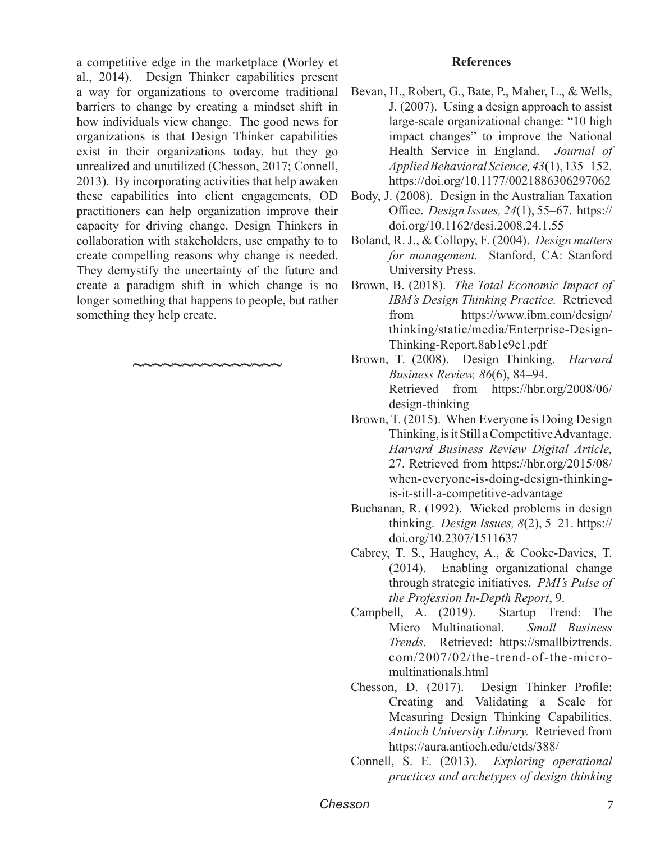a competitive edge in the market place (Worley et al., 2014). Design Thinker capabilities present a way for organizations to overcome traditional barriers to change by creating a mindset shift in how individuals view change. The good news for organizations is that Design Thinker capabilities exist in their organizations today, but they go unrealized and unutilized (Chesson, 2017; Connell, 2013). By incorporating activities that help awaken these capabilities into client engagements, OD practitioners can help organization improve their capacity for driving change. Design Thinkers in collaboration with stakeholders, use empathy to to create compelling reasons why change is needed. They demystify the uncertainty of the future and create a paradigm shift in which change is no longer something that happens to people, but rather something they help create.

**~~~~~~~~~~~~~~~**

#### **References**

- Bevan, H., Robert, G., Bate, P., Maher, L., & Wells, J.  $(2007)$ . Using a design approach to assist large-scale organizational change: "10 high impact changes" to improve the National Health Service in England. *Journal of* Applied Behavioral Science, 43(1), 135–152. https://doi.org/10.1177/0021886306297062
- Body, J. (2008). Design in the Australian Taxation Office. *Design Issues*, 24(1), 55–67. https:// doi.org/10.1162/desi.2008.24.1.55
- Boland, R. J., & Collopy, F. (2004). *Design matters for management.* Stanford, CA: Stanford University Press.
- Brown, B. (2018). *The Total Economic Impact of IBM's Design Thinking Practice.* Retrieved from https://www.ibm.com/design/ thinking/static/media/Enterprise-Design-Thinking-Report.8ab1e9e1.pdf
- Brown, T. (2008). Design Thinking. *Harvard Business Review, 86(6), 84–94.* Retrieved from https://hbr.org/2008/06/  $design-thinking$
- Brown, T. (2015). When Everyone is Doing Design Thinking, is it Still a Competitive Advantage. *Harvard Business Review Digital Article,* 27. Retrieved from https://hbr.org/2015/08/ when-everyone-is-doing-design-thinkingis-it-still-a-competitive-advantage
- Buchanan, R. (1992). Wicked problems in design thinking. *Design Issues*,  $8(2)$ ,  $5-21$ . https:// doi.org/10.2307/1511637
- Cabrey, T. S., Haughey, A., & Cooke-Davies, T.  $(2014)$ . Enabling organizational change through strategic initiatives. *PMI's Pulse of the Profession In-Depth Report*, 9.
- Campbell, A. (2019). Startup Trend: The Micro Multinational. Small Business *Trends*. Retrieved: https://smallbiztrends.  $com/2007/02$ /the-trend-of-the-micromultinationals.html
- $Chesson, D. (2017).$  Design Thinker Profile: Creating and Validating a Scale for Measuring Design Thinking Capabilities. *Antioch University Library.* Retrieved from https://aura.antioch.edu/etds/388/
- Connell, S. E. (2013). Exploring operational *practices and archetypes of design thinking*